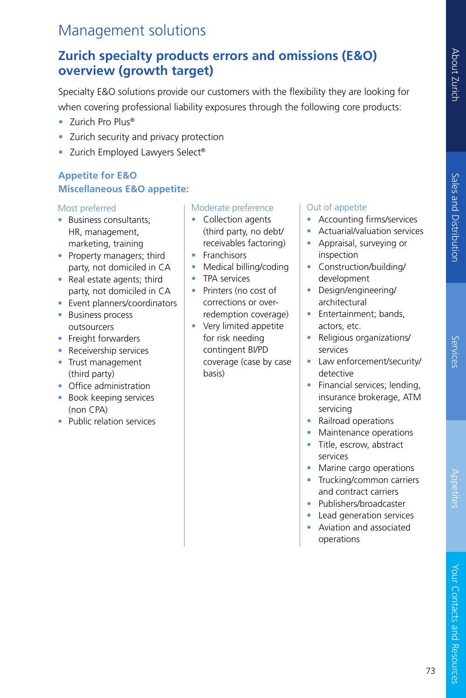Services

# Management solutions

## **Zurich specialty products errors and omissions (E&O) overview (growth target)**

Specialty E&O solutions provide our customers with the flexibility they are looking for when covering professional liability exposures through the following core products:

- Zurich Pro Plus®
- Zurich security and privacy protection
- Zurich Employed Lawyers Select®

## **Appetite for E&O Miscellaneous E&O appetite:**

## Most preferred

- Business consultants; HR, management, marketing, training
- Property managers; third party, not domiciled in CA
- Real estate agents; third party, not domiciled in CA
- Event planners/coordinators
- Business process outsourcers
- Freight forwarders
- Receivership services
- Trust management (third party)
- Office administration
- Book keeping services (non CPA)
- Public relation services

## Moderate preference

- Collection agents (third party, no debt/ receivables factoring)
- Franchisors
- Medical billing/coding
- TPA services
- Printers (no cost of corrections or overredemption coverage)
- Very limited appetite for risk needing contingent BI/PD coverage (case by case basis)

## Out of appetite

- Accounting firms/services
- Actuarial/valuation services
- Appraisal, surveying or inspection
- Construction/building/ development
- Design/engineering/ architectural
- Entertainment; bands, actors, etc.
- Religious organizations/ services
- Law enforcement/security/ detective
- Financial services; lending, insurance brokerage, ATM servicing
- Railroad operations
- Maintenance operations
- Title, escrow, abstract services
- Marine cargo operations
- Trucking/common carriers and contract carriers
- Publishers/broadcaster
- Lead generation services
- Aviation and associated operations

Your Contacts and Resources

Your Contacts and Resources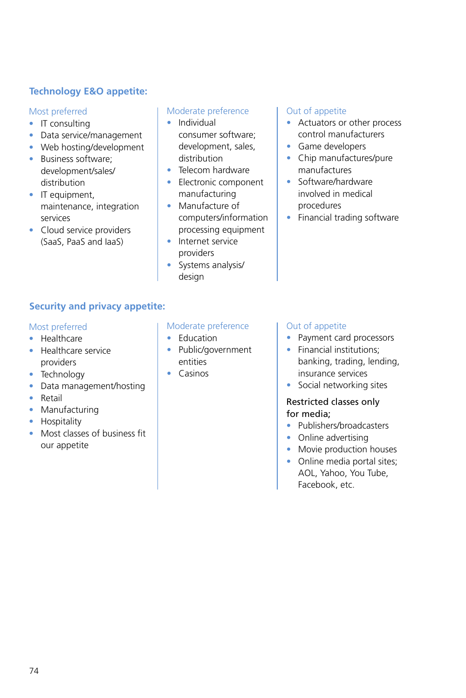## **Technology E&O appetite:**

#### Most preferred

- IT consulting
- Data service/management
- Web hosting/development
- Business software; development/sales/ distribution
- IT equipment. maintenance, integration services
- Cloud service providers (SaaS, PaaS and IaaS)

#### Moderate preference

- Individual consumer software; development, sales, distribution
- Telecom hardware
- Electronic component manufacturing
- Manufacture of computers/information processing equipment
- Internet service providers
- Systems analysis/ design

#### Out of appetite

- Actuators or other process control manufacturers
- Game developers
- Chip manufactures/pure manufactures
- Software/hardware involved in medical procedures
- Financial trading software

## **Security and privacy appetite:**

#### Most preferred

- Healthcare
- Healthcare service providers
- Technology
- Data management/hosting
- Retail
- Manufacturing
- Hospitality
- Most classes of business fit our appetite

#### Moderate preference

- Education
- Public/government entities
- Casinos

#### Out of appetite

- Payment card processors
- Financial institutions; banking, trading, lending, insurance services
- Social networking sites

## Restricted classes only for media;

- Publishers/broadcasters
- Online advertising
- Movie production houses
- Online media portal sites; AOL, Yahoo, You Tube, Facebook, etc.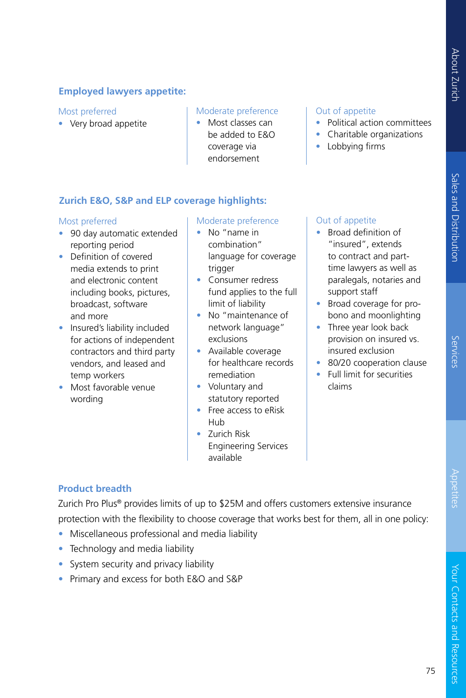## **Employed lawyers appetite:**

#### Most preferred

• Very broad appetite

#### Moderate preference

• Most classes can be added to E&O coverage via endorsement

#### Out of appetite

- Political action committees
- Charitable organizations
- Lobbying firms

## **Zurich E&O, S&P and ELP coverage highlights:**

#### Most preferred

- 90 day automatic extended reporting period
- Definition of covered media extends to print and electronic content including books, pictures, broadcast, software and more
- Insured's liability included for actions of independent contractors and third party vendors, and leased and temp workers
- Most favorable venue wording

#### Moderate preference

- No "name in combination" language for coverage trigger
- Consumer redress fund applies to the full limit of liability
- No "maintenance of network language" exclusions
- Available coverage for healthcare records remediation
- Voluntary and statutory reported
- Free access to eRisk Hub
- Zurich Risk Engineering Services available

## Out of appetite

- Broad definition of "insured", extends to contract and parttime lawyers as well as paralegals, notaries and support staff
- Broad coverage for probono and moonlighting
- Three year look back provision on insured vs. insured exclusion
- 80/20 cooperation clause
- Full limit for securities claims

## **Product breadth**

Zurich Pro Plus® provides limits of up to \$25M and offers customers extensive insurance protection with the flexibility to choose coverage that works best for them, all in one policy:

- Miscellaneous professional and media liability
- Technology and media liability
- System security and privacy liability
- Primary and excess for both E&O and S&P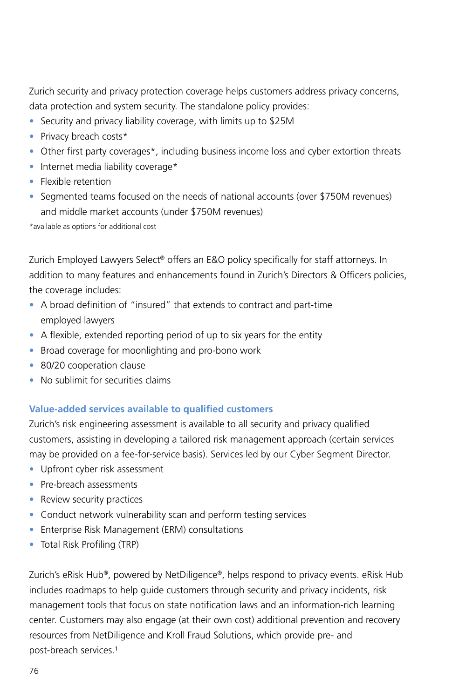Zurich security and privacy protection coverage helps customers address privacy concerns, data protection and system security. The standalone policy provides:

- Security and privacy liability coverage, with limits up to \$25M
- Privacy breach costs\*
- Other first party coverages\*, including business income loss and cyber extortion threats
- Internet media liability coverage\*
- Flexible retention
- Segmented teams focused on the needs of national accounts (over \$750M revenues) and middle market accounts (under \$750M revenues)

\*available as options for additional cost

Zurich Employed Lawyers Select® offers an E&O policy specifically for staff attorneys. In addition to many features and enhancements found in Zurich's Directors & Officers policies, the coverage includes:

- A broad definition of "insured" that extends to contract and part-time employed lawyers
- A flexible, extended reporting period of up to six years for the entity
- Broad coverage for moonlighting and pro-bono work
- 80/20 cooperation clause
- No sublimit for securities claims

## **Value-added services available to qualified customers**

Zurich's risk engineering assessment is available to all security and privacy qualified customers, assisting in developing a tailored risk management approach (certain services may be provided on a fee-for-service basis). Services led by our Cyber Segment Director.

- Upfront cyber risk assessment
- Pre-breach assessments
- Review security practices
- Conduct network vulnerability scan and perform testing services
- Enterprise Risk Management (ERM) consultations
- Total Risk Profiling (TRP)

Zurich's eRisk Hub®, powered by NetDiligence®, helps respond to privacy events. eRisk Hub includes roadmaps to help guide customers through security and privacy incidents, risk management tools that focus on state notification laws and an information-rich learning center. Customers may also engage (at their own cost) additional prevention and recovery resources from NetDiligence and Kroll Fraud Solutions, which provide pre- and post-breach services.<sup>1</sup>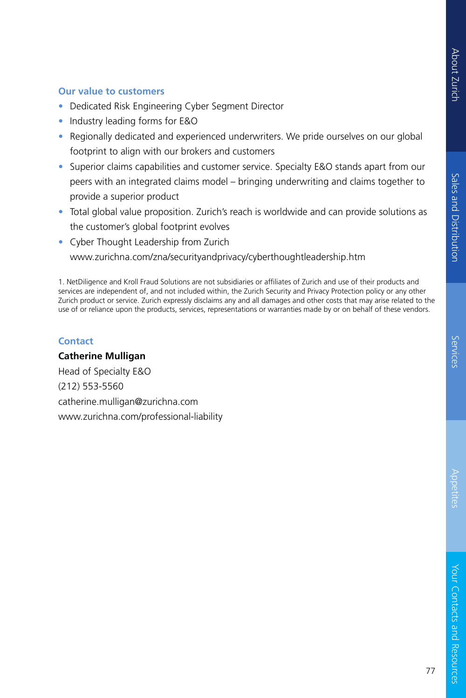## **Our value to customers**

- Dedicated Risk Engineering Cyber Segment Director
- Industry leading forms for E&O
- Regionally dedicated and experienced underwriters. We pride ourselves on our global footprint to align with our brokers and customers
- Superior claims capabilities and customer service. Specialty E&O stands apart from our peers with an integrated claims model – bringing underwriting and claims together to provide a superior product
- Total global value proposition. Zurich's reach is worldwide and can provide solutions as the customer's global footprint evolves
- Cyber Thought Leadership from Zurich www.zurichna.com/zna/securityandprivacy/cyberthoughtleadership.htm

1. NetDiligence and Kroll Fraud Solutions are not subsidiaries or affiliates of Zurich and use of their products and services are independent of, and not included within, the Zurich Security and Privacy Protection policy or any other Zurich product or service. Zurich expressly disclaims any and all damages and other costs that may arise related to the use of or reliance upon the products, services, representations or warranties made by or on behalf of these vendors.

## **Contact**

**Catherine Mulligan** Head of Specialty E&O (212) 553-5560 catherine.mulligan@zurichna.com www.zurichna.com/professional-liability